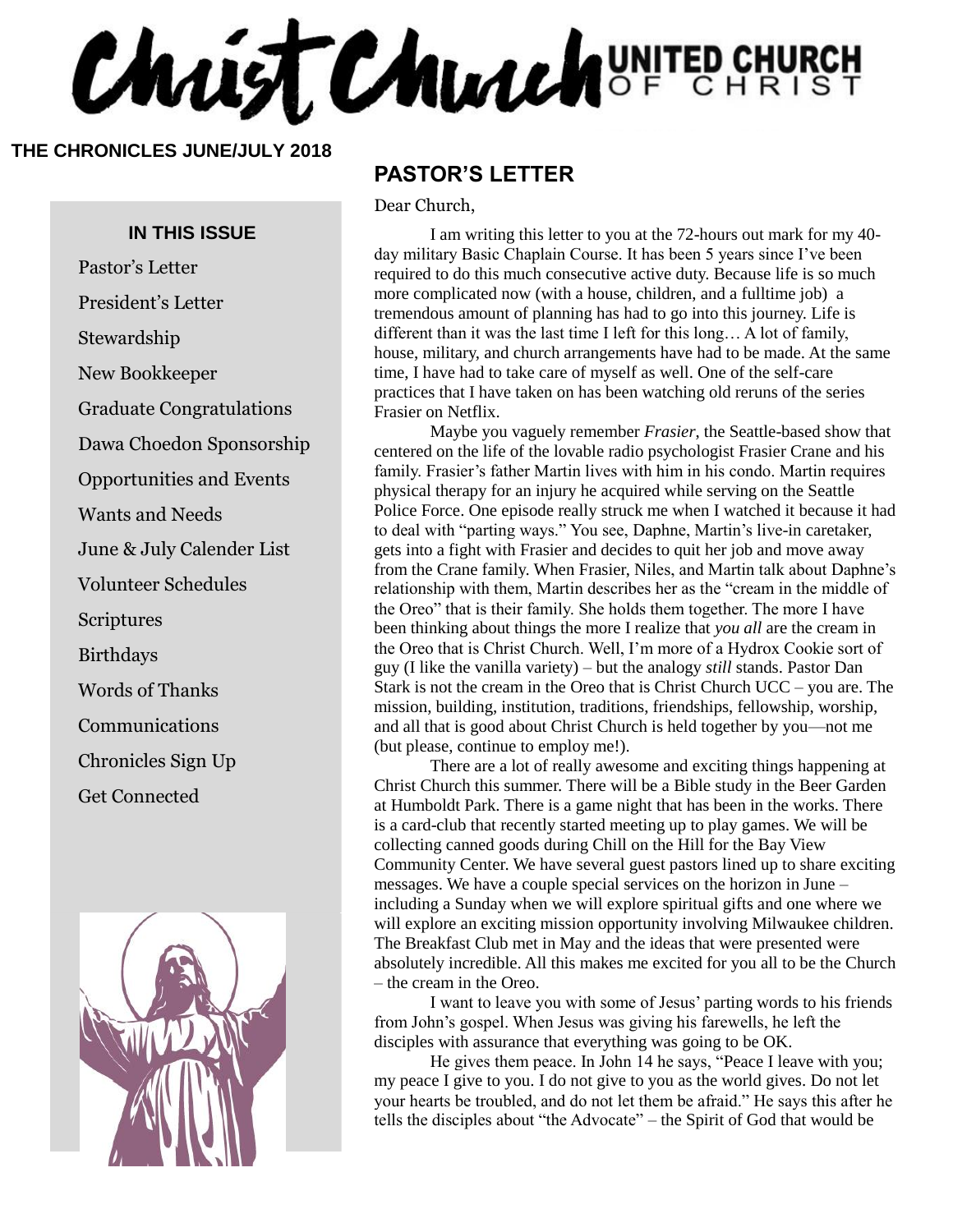Christ Church UNITED CHURCH

#### **THE CHRONICLES JUNE/JULY 2018**

#### **IN THIS ISSUE**

Pastor's Letter President's Letter

Stewardship

New Bookkeeper

Graduate Congratulations

Dawa Choedon Sponsorship

Opportunities and Events

Wants and Needs

June & July Calender List

Volunteer Schedules

Scriptures

Birthdays

Words of Thanks

Communications

Chronicles Sign Up

Get Connected



#### **PASTOR'S LETTER**

Dear Church,

I am writing this letter to you at the 72-hours out mark for my 40day military Basic Chaplain Course. It has been 5 years since I've been required to do this much consecutive active duty. Because life is so much more complicated now (with a house, children, and a fulltime job) a tremendous amount of planning has had to go into this journey. Life is different than it was the last time I left for this long… A lot of family, house, military, and church arrangements have had to be made. At the same time, I have had to take care of myself as well. One of the self-care practices that I have taken on has been watching old reruns of the series Frasier on Netflix.

Maybe you vaguely remember *Frasier*, the Seattle-based show that centered on the life of the lovable radio psychologist Frasier Crane and his family. Frasier's father Martin lives with him in his condo. Martin requires physical therapy for an injury he acquired while serving on the Seattle Police Force. One episode really struck me when I watched it because it had to deal with "parting ways." You see, Daphne, Martin's live-in caretaker, gets into a fight with Frasier and decides to quit her job and move away from the Crane family. When Frasier, Niles, and Martin talk about Daphne's relationship with them, Martin describes her as the "cream in the middle of the Oreo" that is their family. She holds them together. The more I have been thinking about things the more I realize that *you all* are the cream in the Oreo that is Christ Church. Well, I'm more of a Hydrox Cookie sort of guy (I like the vanilla variety) – but the analogy *still* stands. Pastor Dan Stark is not the cream in the Oreo that is Christ Church UCC – you are. The mission, building, institution, traditions, friendships, fellowship, worship, and all that is good about Christ Church is held together by you—not me (but please, continue to employ me!).

There are a lot of really awesome and exciting things happening at Christ Church this summer. There will be a Bible study in the Beer Garden at Humboldt Park. There is a game night that has been in the works. There is a card-club that recently started meeting up to play games. We will be collecting canned goods during Chill on the Hill for the Bay View Community Center. We have several guest pastors lined up to share exciting messages. We have a couple special services on the horizon in June – including a Sunday when we will explore spiritual gifts and one where we will explore an exciting mission opportunity involving Milwaukee children. The Breakfast Club met in May and the ideas that were presented were absolutely incredible. All this makes me excited for you all to be the Church – the cream in the Oreo.

I want to leave you with some of Jesus' parting words to his friends from John's gospel. When Jesus was giving his farewells, he left the disciples with assurance that everything was going to be OK.

He gives them peace. In John 14 he says, "Peace I leave with you; my peace I give to you. I do not give to you as the world gives. Do not let your hearts be troubled, and do not let them be afraid." He says this after he tells the disciples about "the Advocate" – the Spirit of God that would be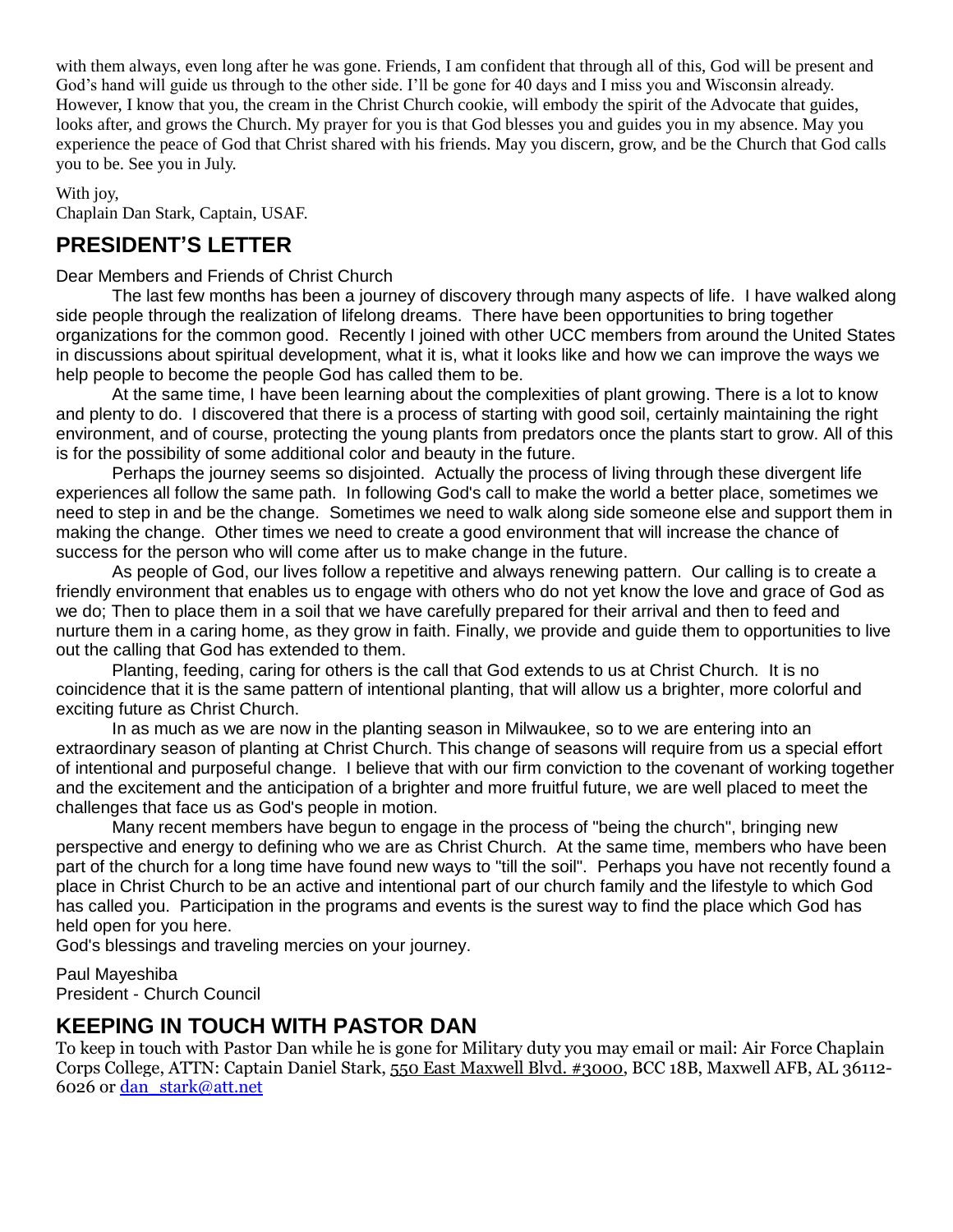with them always, even long after he was gone. Friends, I am confident that through all of this, God will be present and God's hand will guide us through to the other side. I'll be gone for 40 days and I miss you and Wisconsin already. However, I know that you, the cream in the Christ Church cookie, will embody the spirit of the Advocate that guides, looks after, and grows the Church. My prayer for you is that God blesses you and guides you in my absence. May you experience the peace of God that Christ shared with his friends. May you discern, grow, and be the Church that God calls you to be. See you in July.

With joy,

Chaplain Dan Stark, Captain, USAF.

#### **PRESIDENT'S LETTER**

Dear Members and Friends of Christ Church

The last few months has been a journey of discovery through many aspects of life. I have walked along side people through the realization of lifelong dreams. There have been opportunities to bring together organizations for the common good. Recently I joined with other UCC members from around the United States in discussions about spiritual development, what it is, what it looks like and how we can improve the ways we help people to become the people God has called them to be.

At the same time, I have been learning about the complexities of plant growing. There is a lot to know and plenty to do. I discovered that there is a process of starting with good soil, certainly maintaining the right environment, and of course, protecting the young plants from predators once the plants start to grow. All of this is for the possibility of some additional color and beauty in the future.

Perhaps the journey seems so disjointed. Actually the process of living through these divergent life experiences all follow the same path. In following God's call to make the world a better place, sometimes we need to step in and be the change. Sometimes we need to walk along side someone else and support them in making the change. Other times we need to create a good environment that will increase the chance of success for the person who will come after us to make change in the future.

As people of God, our lives follow a repetitive and always renewing pattern. Our calling is to create a friendly environment that enables us to engage with others who do not yet know the love and grace of God as we do; Then to place them in a soil that we have carefully prepared for their arrival and then to feed and nurture them in a caring home, as they grow in faith. Finally, we provide and guide them to opportunities to live out the calling that God has extended to them.

Planting, feeding, caring for others is the call that God extends to us at Christ Church. It is no coincidence that it is the same pattern of intentional planting, that will allow us a brighter, more colorful and exciting future as Christ Church.

In as much as we are now in the planting season in Milwaukee, so to we are entering into an extraordinary season of planting at Christ Church. This change of seasons will require from us a special effort of intentional and purposeful change. I believe that with our firm conviction to the covenant of working together and the excitement and the anticipation of a brighter and more fruitful future, we are well placed to meet the challenges that face us as God's people in motion.

Many recent members have begun to engage in the process of "being the church", bringing new perspective and energy to defining who we are as Christ Church. At the same time, members who have been part of the church for a long time have found new ways to "till the soil". Perhaps you have not recently found a place in Christ Church to be an active and intentional part of our church family and the lifestyle to which God has called you. Participation in the programs and events is the surest way to find the place which God has held open for you here.

God's blessings and traveling mercies on your journey.

Paul Mayeshiba President - Church Council

#### **KEEPING IN TOUCH WITH PASTOR DAN**

To keep in touch with Pastor Dan while he is gone for Military duty you may email or mail: Air Force Chaplain Corps College, ATTN: Captain Daniel Stark[, 550 East Maxwell Blvd. #3000,](https://maps.google.com/?q=550+East+Maxwell+Blvd.+%233000&entry=gmail&source=g) BCC 18B, Maxwell AFB, AL 36112- 6026 or [dan\\_stark@att.net](mailto:dan_stark@att.net)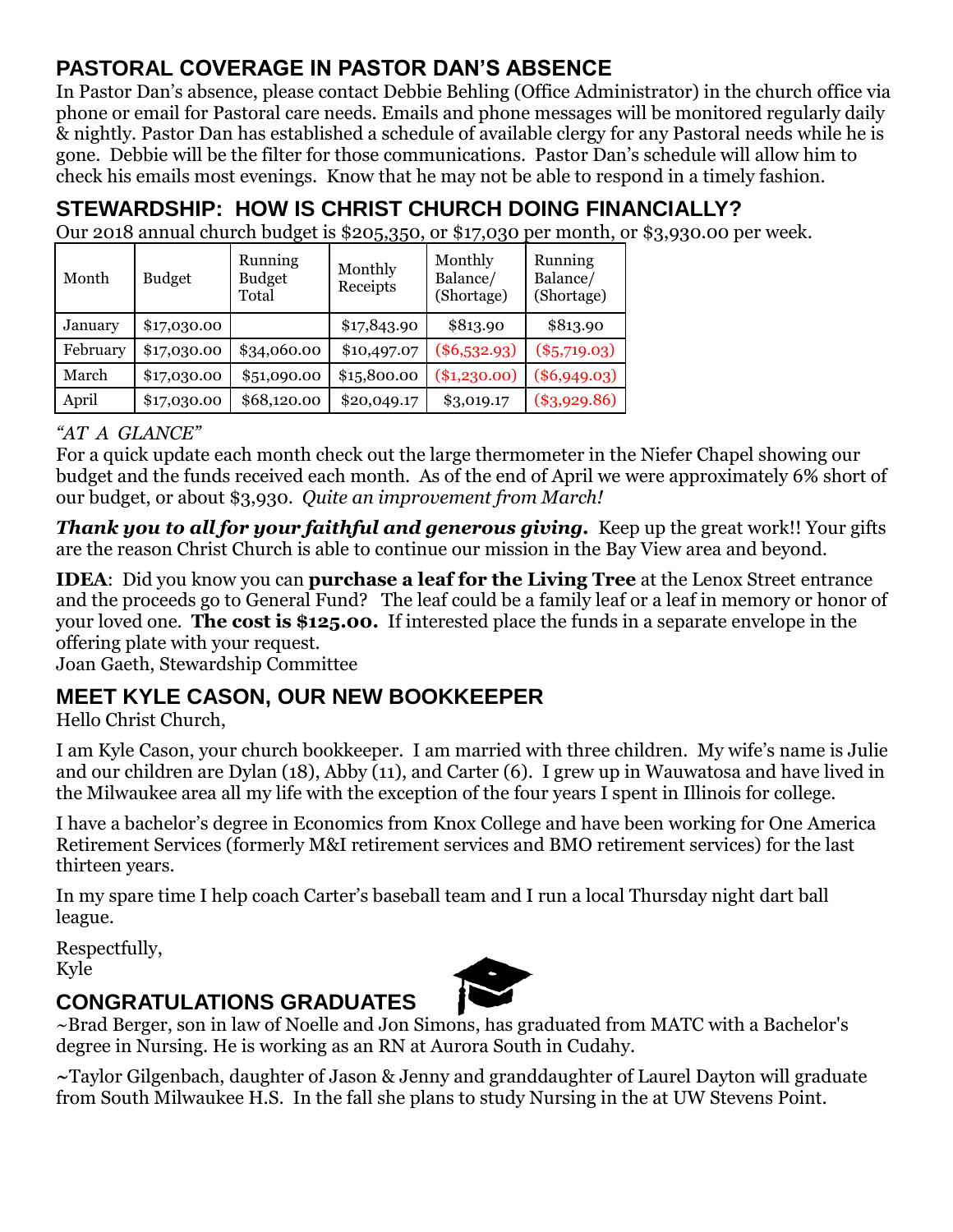## **PASTORAL COVERAGE IN PASTOR DAN'S ABSENCE**

In Pastor Dan's absence, please contact Debbie Behling (Office Administrator) in the church office via phone or email for Pastoral care needs. Emails and phone messages will be monitored regularly daily & nightly. Pastor Dan has established a schedule of available clergy for any Pastoral needs while he is gone. Debbie will be the filter for those communications. Pastor Dan's schedule will allow him to check his emails most evenings. Know that he may not be able to respond in a timely fashion.

# **STEWARDSHIP: HOW IS CHRIST CHURCH DOING FINANCIALLY?**

Our 2018 annual church budget is \$205,350, or \$17,030 per month, or \$3,930.00 per week.

| Month    | <b>Budget</b> | Running<br><b>Budget</b><br>Total | Monthly<br>Receipts | Monthly<br>Balance/<br>(Shortage) | Running<br>Balance/<br>(Shortage) |
|----------|---------------|-----------------------------------|---------------------|-----------------------------------|-----------------------------------|
| January  | \$17,030.00   |                                   | \$17,843.90         | \$813.90                          | \$813.90                          |
| February | \$17,030.00   | \$34,060.00                       | \$10,497.07         | $(\$6,532.93)$                    | $(\$5,719.03)$                    |
| March    | \$17,030.00   | \$51,090.00                       | \$15,800.00         | $(*1,230.00)$                     | $(\$6,949.03)$                    |
| April    | \$17,030.00   | \$68,120.00                       | \$20,049.17         | \$3,019.17                        | $(\$3,929.86)$                    |

#### *"AT A GLANCE"*

For a quick update each month check out the large thermometer in the Niefer Chapel showing our budget and the funds received each month. As of the end of April we were approximately 6% short of our budget, or about \$3,930. *Quite an improvement from March!*

*Thank you to all for your faithful and generous giving.* Keep up the great work!! Your gifts are the reason Christ Church is able to continue our mission in the Bay View area and beyond.

**IDEA**: Did you know you can **purchase a leaf for the Living Tree** at the Lenox Street entrance and the proceeds go to General Fund? The leaf could be a family leaf or a leaf in memory or honor of your loved one. **The cost is \$125.00.** If interested place the funds in a separate envelope in the offering plate with your request.

Joan Gaeth, Stewardship Committee

## **MEET KYLE CASON, OUR NEW BOOKKEEPER**

Hello Christ Church,

I am Kyle Cason, your church bookkeeper. I am married with three children. My wife's name is Julie and our children are Dylan (18), Abby (11), and Carter (6). I grew up in Wauwatosa and have lived in the Milwaukee area all my life with the exception of the four years I spent in Illinois for college.

I have a bachelor's degree in Economics from Knox College and have been working for One America Retirement Services (formerly M&I retirement services and BMO retirement services) for the last thirteen years.

In my spare time I help coach Carter's baseball team and I run a local Thursday night dart ball league.

Respectfully, Kyle

## **CONGRATULATIONS GRADUATES**



~Brad Berger, son in law of Noelle and Jon Simons, has graduated from MATC with a Bachelor's degree in Nursing. He is working as an RN at Aurora South in Cudahy.

**~**Taylor Gilgenbach, daughter of Jason & Jenny and granddaughter of Laurel Dayton will graduate from South Milwaukee H.S. In the fall she plans to study Nursing in the at UW Stevens Point.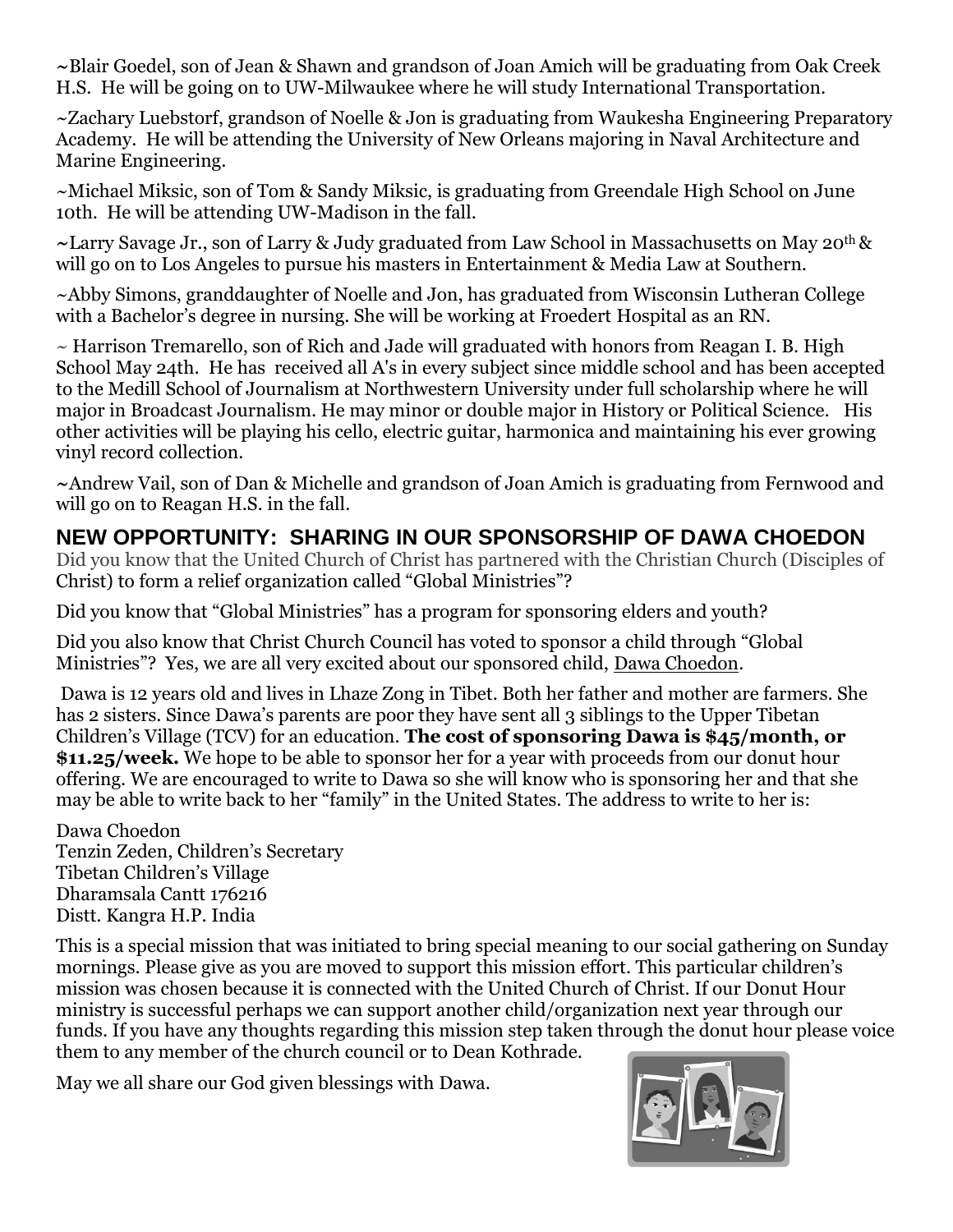**~**Blair Goedel, son of Jean & Shawn and grandson of Joan Amich will be graduating from Oak Creek H.S. He will be going on to UW-Milwaukee where he will study International Transportation.

~Zachary Luebstorf, grandson of Noelle & Jon is graduating from Waukesha Engineering Preparatory Academy. He will be attending the University of New Orleans majoring in Naval Architecture and Marine Engineering.

~Michael Miksic, son of Tom & Sandy Miksic, is graduating from Greendale High School on June 10th. He will be attending UW-Madison in the fall.

**~**Larry Savage Jr., son of Larry & Judy graduated from Law School in Massachusetts on May 20th & will go on to Los Angeles to pursue his masters in Entertainment & Media Law at Southern.

~Abby Simons, granddaughter of Noelle and Jon, has graduated from Wisconsin Lutheran College with a Bachelor's degree in nursing. She will be working at Froedert Hospital as an RN.

~ Harrison Tremarello, son of Rich and Jade will graduated with honors from Reagan I. B. High School May 24th. He has received all A's in every subject since middle school and has been accepted to the Medill School of Journalism at Northwestern University under full scholarship where he will major in Broadcast Journalism. He may minor or double major in History or Political Science. His other activities will be playing his cello, electric guitar, harmonica and maintaining his ever growing vinyl record collection.

**~**Andrew Vail, son of Dan & Michelle and grandson of Joan Amich is graduating from Fernwood and will go on to Reagan H.S. in the fall.

## **NEW OPPORTUNITY: SHARING IN OUR SPONSORSHIP OF DAWA CHOEDON**

Did you know that the United Church of Christ has partnered with the Christian Church (Disciples of Christ) to form a relief organization called "Global Ministries"?

Did you know that "Global Ministries" has a program for sponsoring elders and youth?

Did you also know that Christ Church Council has voted to sponsor a child through "Global Ministries"? Yes, we are all very excited about our sponsored child, Dawa Choedon.

Dawa is 12 years old and lives in Lhaze Zong in Tibet. Both her father and mother are farmers. She has 2 sisters. Since Dawa's parents are poor they have sent all 3 siblings to the Upper Tibetan Children's Village (TCV) for an education. **The cost of sponsoring Dawa is \$45/month, or \$11.25/week.** We hope to be able to sponsor her for a year with proceeds from our donut hour offering. We are encouraged to write to Dawa so she will know who is sponsoring her and that she may be able to write back to her "family" in the United States. The address to write to her is:

Dawa Choedon Tenzin Zeden, Children's Secretary Tibetan Children's Village Dharamsala Cantt 176216 Distt. Kangra H.P. India

This is a special mission that was initiated to bring special meaning to our social gathering on Sunday mornings. Please give as you are moved to support this mission effort. This particular children's mission was chosen because it is connected with the United Church of Christ. If our Donut Hour ministry is successful perhaps we can support another child/organization next year through our funds. If you have any thoughts regarding this mission step taken through the donut hour please voice them to any member of the church council or to Dean Kothrade.

May we all share our God given blessings with Dawa.

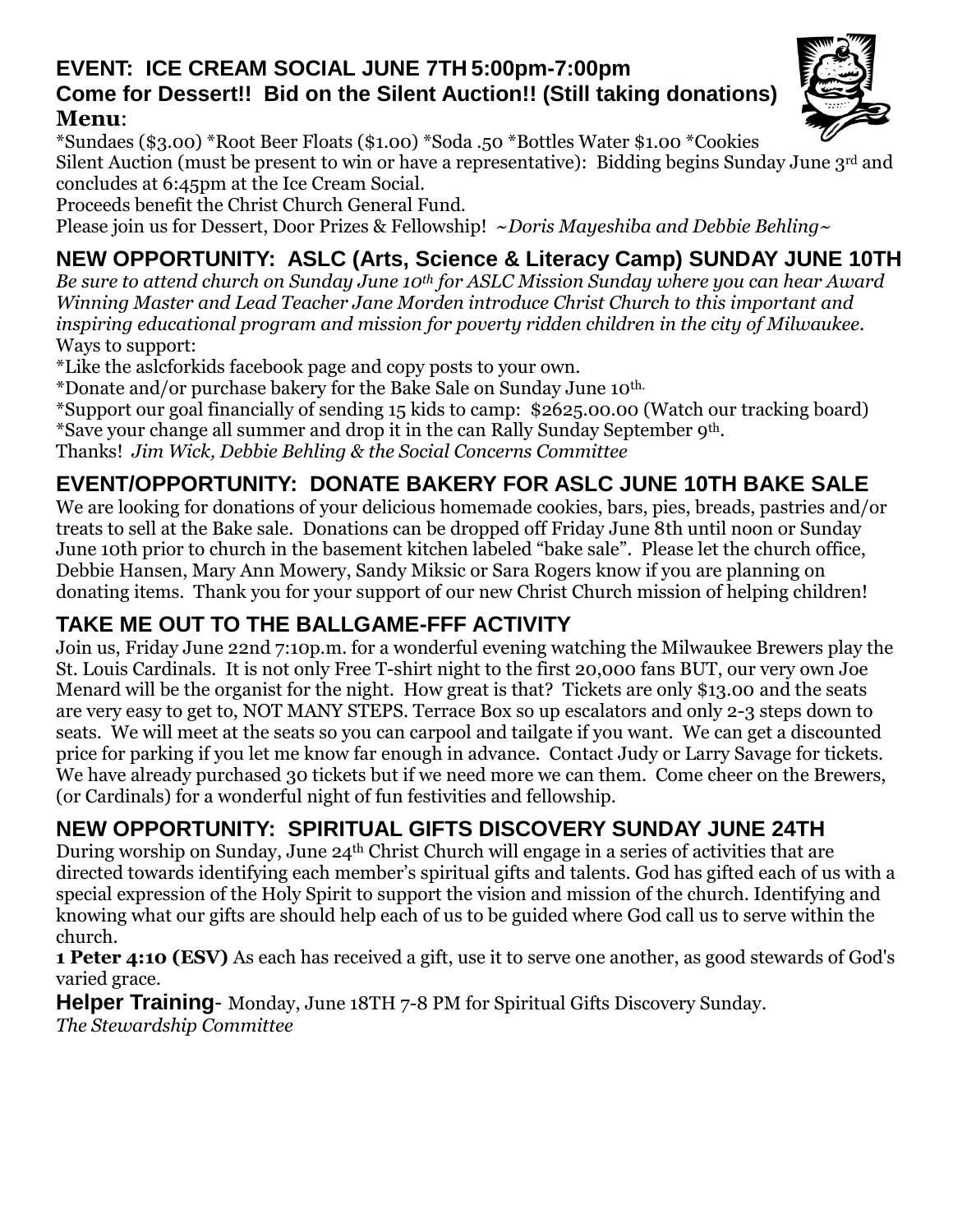#### **EVENT: ICE CREAM SOCIAL JUNE 7TH 5:00pm-7:00pm Come for Dessert!! Bid on the Silent Auction!! (Still taking donations) Menu**:

\*Sundaes (\$3.00) \*Root Beer Floats (\$1.00) \*Soda .50 \*Bottles Water \$1.00 \*Cookies

Silent Auction (must be present to win or have a representative): Bidding begins Sunday June 3rd and concludes at 6:45pm at the Ice Cream Social.

Proceeds benefit the Christ Church General Fund.

Please join us for Dessert, Door Prizes & Fellowship! ~*Doris Mayeshiba and Debbie Behling~*

# **NEW OPPORTUNITY: ASLC (Arts, Science & Literacy Camp) SUNDAY JUNE 10TH**

*Be sure to attend church on Sunday June 10th for ASLC Mission Sunday where you can hear Award Winning Master and Lead Teacher Jane Morden introduce Christ Church to this important and inspiring educational program and mission for poverty ridden children in the city of Milwaukee.* Ways to support:

\*Like the aslcforkids facebook page and copy posts to your own.

\*Donate and/or purchase bakery for the Bake Sale on Sunday June 10th.

\*Support our goal financially of sending 15 kids to camp: \$2625.00.00 (Watch our tracking board)

\*Save your change all summer and drop it in the can Rally Sunday September 9th.

Thanks! *Jim Wick, Debbie Behling & the Social Concerns Committee*

## **EVENT/OPPORTUNITY: DONATE BAKERY FOR ASLC JUNE 10TH BAKE SALE**

We are looking for donations of your delicious homemade cookies, bars, pies, breads, pastries and/or treats to sell at the Bake sale. Donations can be dropped off Friday June 8th until noon or Sunday June 10th prior to church in the basement kitchen labeled "bake sale". Please let the church office, Debbie Hansen, Mary Ann Mowery, Sandy Miksic or Sara Rogers know if you are planning on donating items. Thank you for your support of our new Christ Church mission of helping children!

## **TAKE ME OUT TO THE BALLGAME-FFF ACTIVITY**

Join us, Friday June 22nd 7:10p.m. for a wonderful evening watching the Milwaukee Brewers play the St. Louis Cardinals. It is not only Free T-shirt night to the first 20,000 fans BUT, our very own Joe Menard will be the organist for the night. How great is that? Tickets are only \$13.00 and the seats are very easy to get to, NOT MANY STEPS. Terrace Box so up escalators and only 2-3 steps down to seats. We will meet at the seats so you can carpool and tailgate if you want. We can get a discounted price for parking if you let me know far enough in advance. Contact Judy or Larry Savage for tickets. We have already purchased 30 tickets but if we need more we can them. Come cheer on the Brewers, (or Cardinals) for a wonderful night of fun festivities and fellowship.

# **NEW OPPORTUNITY: SPIRITUAL GIFTS DISCOVERY SUNDAY JUNE 24TH**

During worship on Sunday, June 24th Christ Church will engage in a series of activities that are directed towards identifying each member's spiritual gifts and talents. God has gifted each of us with a special expression of the Holy Spirit to support the vision and mission of the church. Identifying and knowing what our gifts are should help each of us to be guided where God call us to serve within the church.

**1 Peter 4:10 (ESV)** As each has received a gift, use it to serve one another, as good stewards of God's varied grace.

**Helper Training**- Monday, June 18TH 7-8 PM for Spiritual Gifts Discovery Sunday. *The Stewardship Committee*

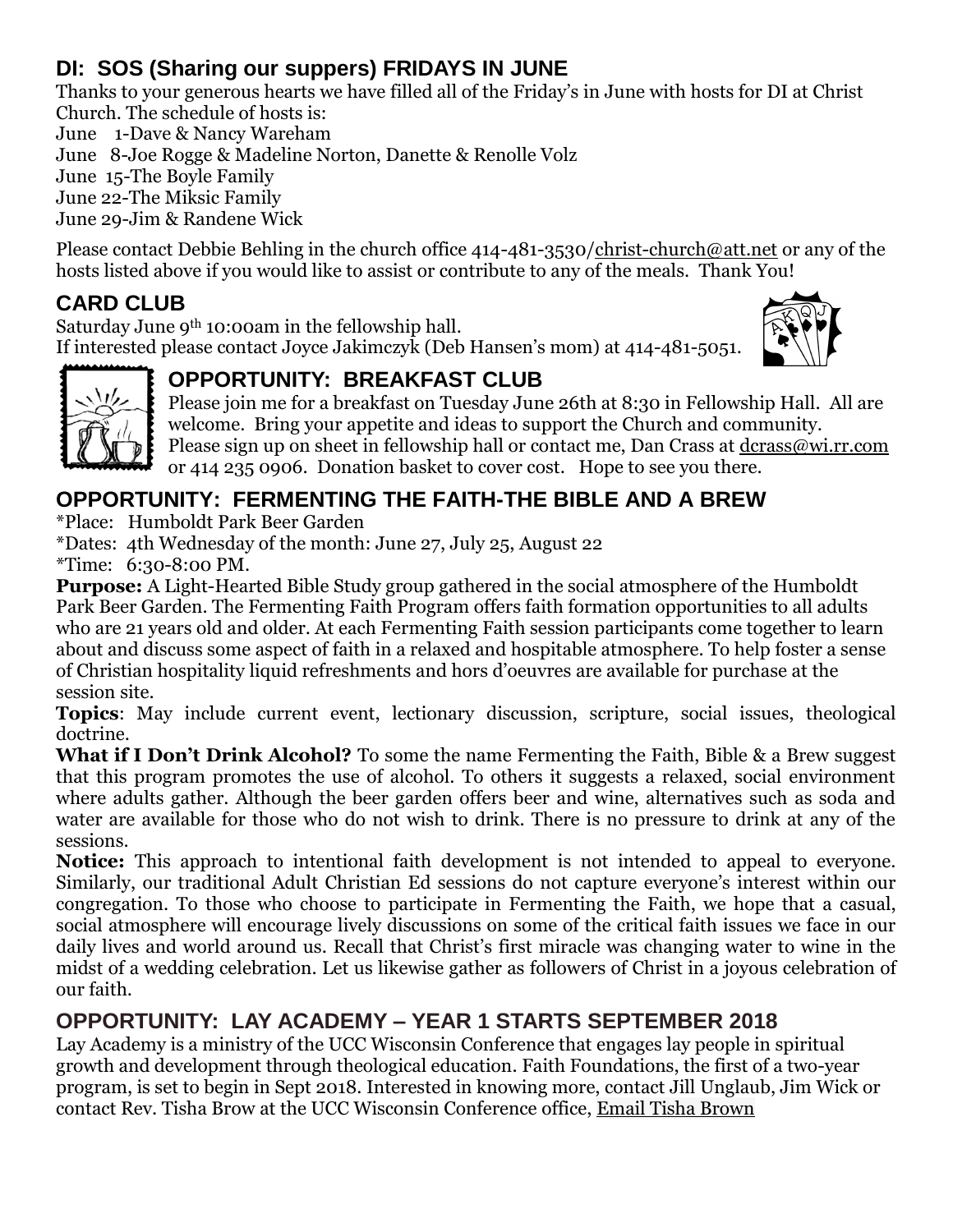## **DI: SOS (Sharing our suppers) FRIDAYS IN JUNE**

Thanks to your generous hearts we have filled all of the Friday's in June with hosts for DI at Christ Church. The schedule of hosts is:

June 1-Dave & Nancy Wareham

June 8-Joe Rogge & Madeline Norton, Danette & Renolle Volz

June 15-The Boyle Family

June 22-The Miksic Family

June 29-Jim & Randene Wick

Please contact Debbie Behling in the church office 414-481-3530[/christ-church@att.net](mailto:christ-church@att.net) or any of the hosts listed above if you would like to assist or contribute to any of the meals. Thank You!

## **CARD CLUB**

Saturday June 9th 10:00am in the fellowship hall. If interested please contact Joyce Jakimczyk (Deb Hansen's mom) at 414-481-5051.





# **OPPORTUNITY: BREAKFAST CLUB**

Please join me for a breakfast on Tuesday June 26th at 8:30 in Fellowship Hall. All are welcome. Bring your appetite and ideas to support the Church and community. Please sign up on sheet in fellowship hall or contact me, Dan Crass at [dcrass@wi.rr.com](mailto:dcrass@wi.rr.com) or 414 235 0906. Donation basket to cover cost. Hope to see you there.

## **OPPORTUNITY: FERMENTING THE FAITH-THE BIBLE AND A BREW**

\*Place: Humboldt Park Beer Garden

\*Dates: 4th Wednesday of the month: June 27, July 25, August 22

\*Time: 6:30-8:00 PM.

**Purpose:** A Light-Hearted Bible Study group gathered in the social atmosphere of the Humboldt Park Beer Garden. The Fermenting Faith Program offers faith formation opportunities to all adults who are 21 years old and older. At each Fermenting Faith session participants come together to learn about and discuss some aspect of faith in a relaxed and hospitable atmosphere. To help foster a sense of Christian hospitality liquid refreshments and hors d'oeuvres are available for purchase at the session site.

**Topics**: May include current event, lectionary discussion, scripture, social issues, theological doctrine.

**What if I Don't Drink Alcohol?** To some the name Fermenting the Faith, Bible & a Brew suggest that this program promotes the use of alcohol. To others it suggests a relaxed, social environment where adults gather. Although the beer garden offers beer and wine, alternatives such as soda and water are available for those who do not wish to drink. There is no pressure to drink at any of the sessions.

**Notice:** This approach to intentional faith development is not intended to appeal to everyone. Similarly, our traditional Adult Christian Ed sessions do not capture everyone's interest within our congregation. To those who choose to participate in Fermenting the Faith, we hope that a casual, social atmosphere will encourage lively discussions on some of the critical faith issues we face in our daily lives and world around us. Recall that Christ's first miracle was changing water to wine in the midst of a wedding celebration. Let us likewise gather as followers of Christ in a joyous celebration of our faith.

## **OPPORTUNITY: LAY ACADEMY – YEAR 1 STARTS SEPTEMBER 2018**

Lay Academy is a ministry of the UCC Wisconsin Conference that engages lay people in spiritual growth and development through theological education. Faith Foundations, the first of a two-year program, is set to begin in Sept 2018. Interested in knowing more, contact Jill Unglaub, Jim Wick or contact Rev. Tisha Brow at the UCC Wisconsin Conference office, [Email Tisha Brown](mailto:tbrown@wcucc.org)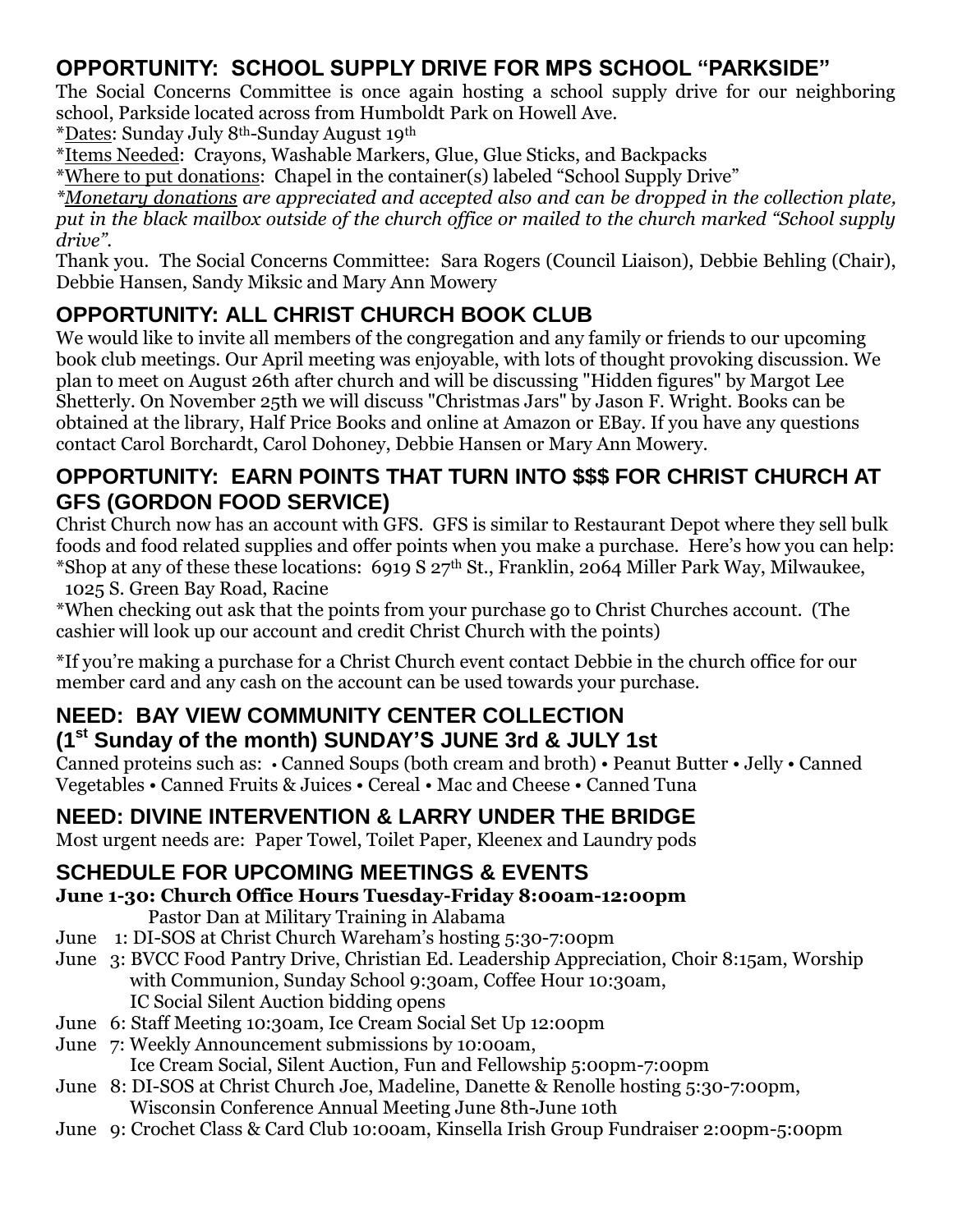## **OPPORTUNITY: SCHOOL SUPPLY DRIVE FOR MPS SCHOOL "PARKSIDE"**

The Social Concerns Committee is once again hosting a school supply drive for our neighboring school, Parkside located across from Humboldt Park on Howell Ave.

\*Dates: Sunday July 8th-Sunday August 19th

\*Items Needed: Crayons, Washable Markers, Glue, Glue Sticks, and Backpacks

\*Where to put donations: Chapel in the container(s) labeled "School Supply Drive"

*\*Monetary donations are appreciated and accepted also and can be dropped in the collection plate, put in the black mailbox outside of the church office or mailed to the church marked "School supply drive".*

Thank you. The Social Concerns Committee: Sara Rogers (Council Liaison), Debbie Behling (Chair), Debbie Hansen, Sandy Miksic and Mary Ann Mowery

# **OPPORTUNITY: ALL CHRIST CHURCH BOOK CLUB**

We would like to invite all members of the congregation and any family or friends to our upcoming book club meetings. Our April meeting was enjoyable, with lots of thought provoking discussion. We plan to meet on August 26th after church and will be discussing "Hidden figures" by Margot Lee Shetterly. On November 25th we will discuss "Christmas Jars" by Jason F. Wright. Books can be obtained at the library, Half Price Books and online at Amazon or EBay. If you have any questions contact Carol Borchardt, Carol Dohoney, Debbie Hansen or Mary Ann Mowery.

#### **OPPORTUNITY: EARN POINTS THAT TURN INTO \$\$\$ FOR CHRIST CHURCH AT GFS (GORDON FOOD SERVICE)**

Christ Church now has an account with GFS. GFS is similar to Restaurant Depot where they sell bulk foods and food related supplies and offer points when you make a purchase. Here's how you can help: \*Shop at any of these these locations: 6919 S  $27<sup>th</sup>$  St., Franklin, 2064 Miller Park Way, Milwaukee, 1025 S. Green Bay Road, Racine

\*When checking out ask that the points from your purchase go to Christ Churches account. (The cashier will look up our account and credit Christ Church with the points)

\*If you're making a purchase for a Christ Church event contact Debbie in the church office for our member card and any cash on the account can be used towards your purchase.

#### **NEED: BAY VIEW COMMUNITY CENTER COLLECTION (1st Sunday of the month) SUNDAY'S JUNE 3rd & JULY 1st**

Canned proteins such as: • Canned Soups (both cream and broth) • Peanut Butter • Jelly • Canned Vegetables • Canned Fruits & Juices • Cereal • Mac and Cheese • Canned Tuna

## **NEED: DIVINE INTERVENTION & LARRY UNDER THE BRIDGE**

Most urgent needs are: Paper Towel, Toilet Paper, Kleenex and Laundry pods

## **SCHEDULE FOR UPCOMING MEETINGS & EVENTS**

- **June 1-30: Church Office Hours Tuesday-Friday 8:00am-12:00pm** Pastor Dan at Military Training in Alabama
- June 1: DI-SOS at Christ Church Wareham's hosting 5:30-7:00pm
- June 3: BVCC Food Pantry Drive, Christian Ed. Leadership Appreciation, Choir 8:15am, Worship with Communion, Sunday School 9:30am, Coffee Hour 10:30am, IC Social Silent Auction bidding opens
- June 6: Staff Meeting 10:30am, Ice Cream Social Set Up 12:00pm
- June 7: Weekly Announcement submissions by 10:00am,

Ice Cream Social, Silent Auction, Fun and Fellowship 5:00pm-7:00pm

- June 8: DI-SOS at Christ Church Joe, Madeline, Danette & Renolle hosting 5:30-7:00pm, Wisconsin Conference Annual Meeting June 8th-June 10th
- June 9: Crochet Class & Card Club 10:00am, Kinsella Irish Group Fundraiser 2:00pm-5:00pm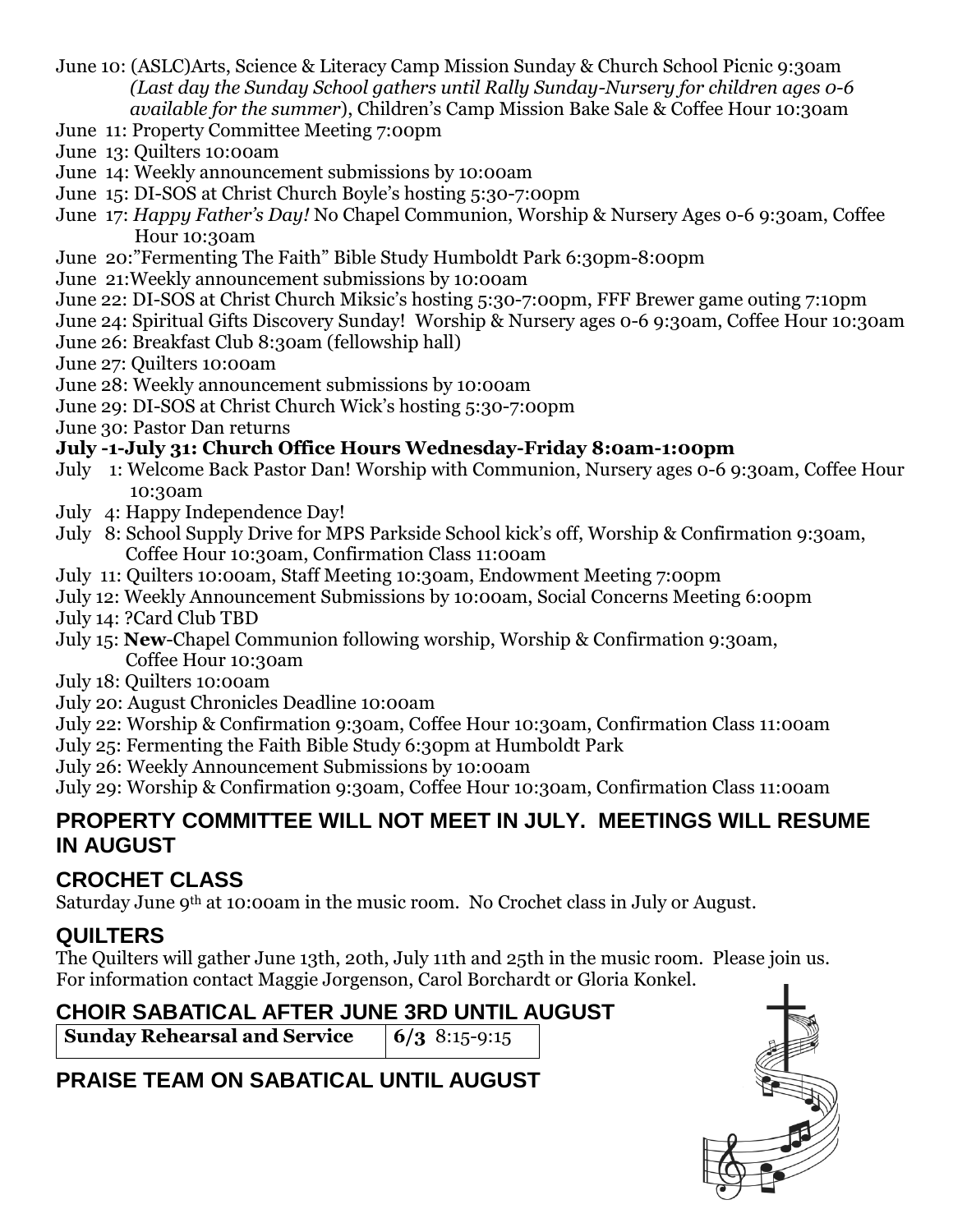- June 10: (ASLC)Arts, Science & Literacy Camp Mission Sunday & Church School Picnic 9:30am *(Last day the Sunday School gathers until Rally Sunday-Nursery for children ages 0-6 available for the summer*), Children's Camp Mission Bake Sale & Coffee Hour 10:30am
- June 11: Property Committee Meeting 7:00pm
- June 13: Quilters 10:00am
- June 14: Weekly announcement submissions by 10:00am
- June 15: DI-SOS at Christ Church Boyle's hosting 5:30-7:00pm
- June 17: *Happy Father's Day!* No Chapel Communion, Worship & Nursery Ages 0-6 9:30am, Coffee Hour 10:30am
- June 20:"Fermenting The Faith" Bible Study Humboldt Park 6:30pm-8:00pm
- June 21:Weekly announcement submissions by 10:00am
- June 22: DI-SOS at Christ Church Miksic's hosting 5:30-7:00pm, FFF Brewer game outing 7:10pm
- June 24: Spiritual Gifts Discovery Sunday! Worship & Nursery ages 0-6 9:30am, Coffee Hour 10:30am
- June 26: Breakfast Club 8:30am (fellowship hall)
- June 27: Quilters 10:00am
- June 28: Weekly announcement submissions by 10:00am
- June 29: DI-SOS at Christ Church Wick's hosting 5:30-7:00pm
- June 30: Pastor Dan returns

#### **July -1-July 31: Church Office Hours Wednesday-Friday 8:0am-1:00pm**

- July 1: Welcome Back Pastor Dan! Worship with Communion, Nursery ages 0-6 9:30am, Coffee Hour 10:30am
- July 4: Happy Independence Day!
- July 8: School Supply Drive for MPS Parkside School kick's off, Worship & Confirmation 9:30am, Coffee Hour 10:30am, Confirmation Class 11:00am
- July 11: Quilters 10:00am, Staff Meeting 10:30am, Endowment Meeting 7:00pm
- July 12: Weekly Announcement Submissions by 10:00am, Social Concerns Meeting 6:00pm
- July 14: ?Card Club TBD
- July 15: **New**-Chapel Communion following worship, Worship & Confirmation 9:30am, Coffee Hour 10:30am
- July 18: Quilters 10:00am
- July 20: August Chronicles Deadline 10:00am
- July 22: Worship & Confirmation 9:30am, Coffee Hour 10:30am, Confirmation Class 11:00am
- July 25: Fermenting the Faith Bible Study 6:30pm at Humboldt Park
- July 26: Weekly Announcement Submissions by 10:00am
- July 29: Worship & Confirmation 9:30am, Coffee Hour 10:30am, Confirmation Class 11:00am

#### **PROPERTY COMMITTEE WILL NOT MEET IN JULY. MEETINGS WILL RESUME IN AUGUST**

## **CROCHET CLASS**

Saturday June 9th at 10:00am in the music room. No Crochet class in July or August.

## **QUILTERS**

The Quilters will gather June 13th, 20th, July 11th and 25th in the music room. Please join us. For information contact Maggie Jorgenson, Carol Borchardt or Gloria Konkel.

## **CHOIR SABATICAL AFTER JUNE 3RD UNTIL AUGUST**

**Sunday Rehearsal and Service 6/3** 8:15-9:15

# **PRAISE TEAM ON SABATICAL UNTIL AUGUST**

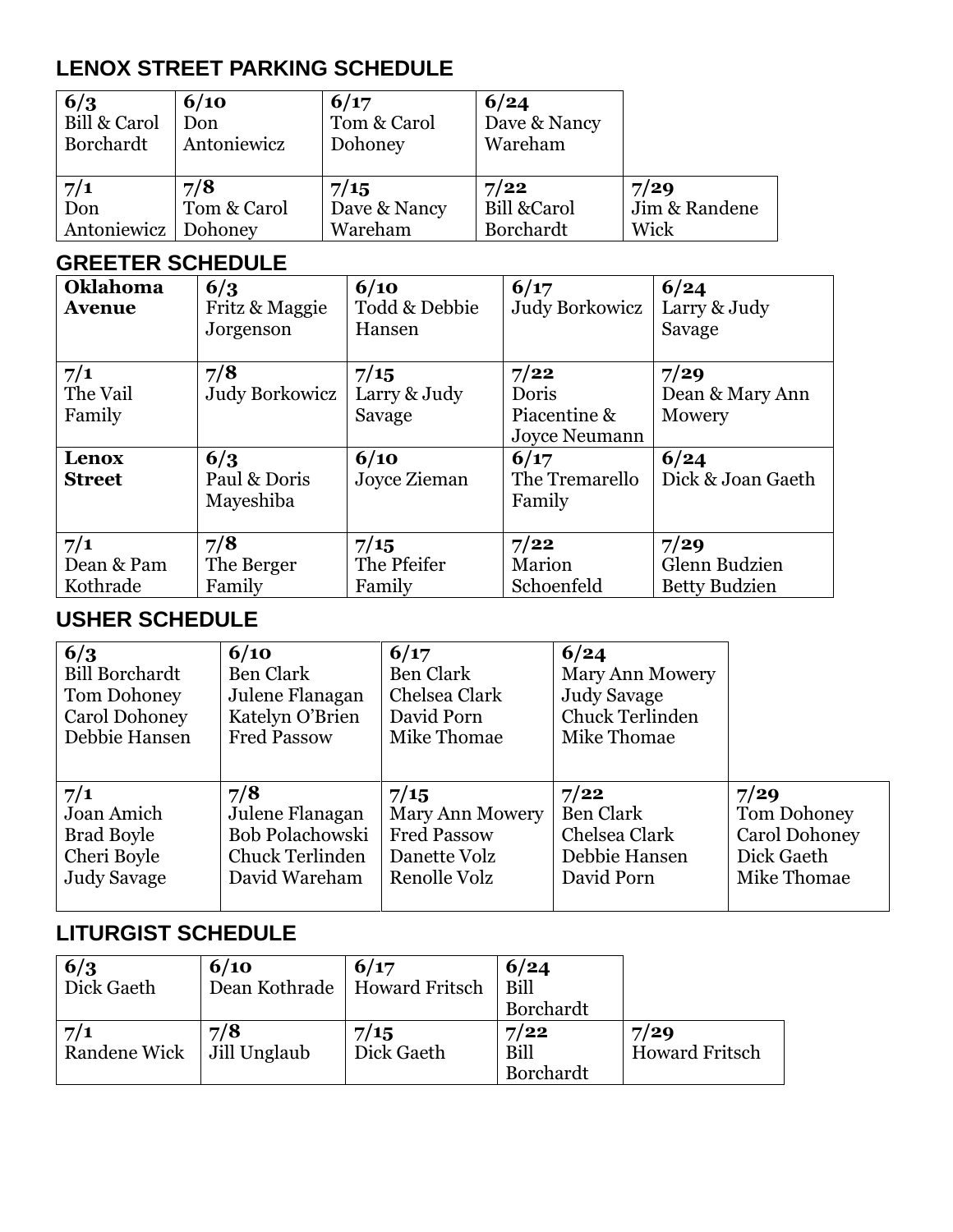## **LENOX STREET PARKING SCHEDULE**

| 6/3<br>Bill & Carol<br>Borchardt | 6/10<br>Don<br>Antoniewicz | 6/17<br>Tom & Carol<br>Dohoney | 6/24<br>Dave & Nancy<br>Wareham |               |
|----------------------------------|----------------------------|--------------------------------|---------------------------------|---------------|
| 7/1                              | 7/8                        | 7/15                           | 7/22                            | 7/29          |
| Don                              | Tom & Carol                | Dave & Nancy                   | <b>Bill &amp;Carol</b>          | Jim & Randene |
| Antoniewicz                      | Dohoney                    | Wareham                        | Borchardt                       | Wick          |

#### **GREETER SCHEDULE**

| Oklahoma<br><b>Avenue</b>     | 6/3<br>Fritz & Maggie<br>Jorgenson | 6/10<br>Todd & Debbie<br>Hansen | 6/17<br><b>Judy Borkowicz</b>                         | 6/24<br>Larry & Judy<br>Savage                |
|-------------------------------|------------------------------------|---------------------------------|-------------------------------------------------------|-----------------------------------------------|
| 7/1<br>The Vail<br>Family     | 7/8<br>Judy Borkowicz              | 7/15<br>Larry & Judy<br>Savage  | 7/22<br>Doris<br>Piacentine &<br><b>Joyce Neumann</b> | 7/29<br>Dean & Mary Ann<br>Mowery             |
| Lenox<br><b>Street</b>        | 6/3<br>Paul & Doris<br>Mayeshiba   | 6/10<br>Joyce Zieman            | 6/17<br>The Tremarello<br>Family                      | 6/24<br>Dick & Joan Gaeth                     |
| 7/1<br>Dean & Pam<br>Kothrade | 7/8<br>The Berger<br>Family        | 7/15<br>The Pfeifer<br>Family   | 7/22<br>Marion<br>Schoenfeld                          | 7/29<br>Glenn Budzien<br><b>Betty Budzien</b> |

#### **USHER SCHEDULE**

| 6/3                   | 6/10               | 6/17                   | 6/24             |                      |
|-----------------------|--------------------|------------------------|------------------|----------------------|
| <b>Bill Borchardt</b> | Ben Clark          | Ben Clark              | Mary Ann Mowery  |                      |
| Tom Dohoney           | Julene Flanagan    | Chelsea Clark          | Judy Savage      |                      |
| Carol Dohoney         | Katelyn O'Brien    | David Porn             | Chuck Terlinden  |                      |
| Debbie Hansen         | <b>Fred Passow</b> | Mike Thomae            | Mike Thomae      |                      |
| 7/1                   | 7/8                | 7/15                   | 7/22             | 7/29                 |
| Joan Amich            | Julene Flanagan    | <b>Mary Ann Mowery</b> | <b>Ben Clark</b> | <b>Tom Dohoney</b>   |
| <b>Brad Boyle</b>     | Bob Polachowski    | <b>Fred Passow</b>     | Chelsea Clark    | <b>Carol Dohoney</b> |
| Cheri Boyle           | Chuck Terlinden    | Danette Volz           | Debbie Hansen    | Dick Gaeth           |
| <b>Judy Savage</b>    | David Wareham      | Renolle Volz           | David Porn       | Mike Thomae          |

## **LITURGIST SCHEDULE**

| 6/3                         | 6/10 | 6/17                           | 6/24      |                       |
|-----------------------------|------|--------------------------------|-----------|-----------------------|
| Dick Gaeth                  |      | Dean Kothrade   Howard Fritsch | Bill      |                       |
|                             |      |                                | Borchardt |                       |
| 7/1                         | 7/8  | 7/15                           | 7/22      | 7/29                  |
| Randene Wick   Jill Unglaub |      | Dick Gaeth                     | Bill      | <b>Howard Fritsch</b> |
|                             |      |                                | Borchardt |                       |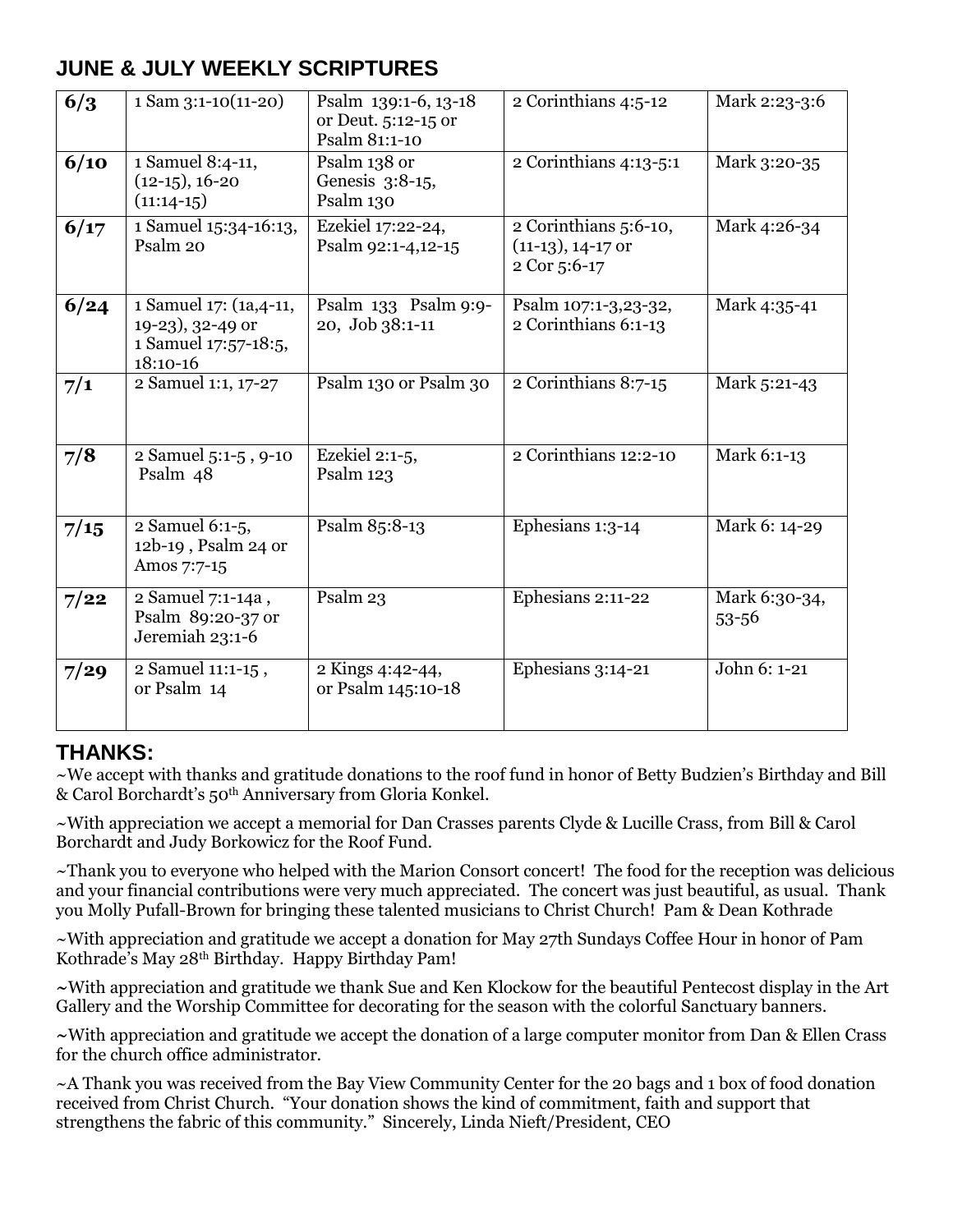#### **JUNE & JULY WEEKLY SCRIPTURES**

| 6/3  | $1$ Sam $3:1-10(11-20)$                                                         | Psalm 139:1-6, 13-18<br>or Deut. 5:12-15 or<br>Psalm 81:1-10 | 2 Corinthians 4:5-12                                          | Mark 2:23-3:6          |
|------|---------------------------------------------------------------------------------|--------------------------------------------------------------|---------------------------------------------------------------|------------------------|
| 6/10 | 1 Samuel 8:4-11,<br>$(12-15)$ , 16-20<br>$(11:14-15)$                           | Psalm 138 or<br>Genesis 3:8-15,<br>Psalm 130                 | 2 Corinthians 4:13-5:1                                        | Mark 3:20-35           |
| 6/17 | 1 Samuel 15:34-16:13,<br>Psalm 20                                               | Ezekiel 17:22-24,<br>Psalm 92:1-4,12-15                      | 2 Corinthians 5:6-10,<br>$(11-13)$ , 14-17 or<br>2 Cor 5:6-17 | Mark 4:26-34           |
| 6/24 | 1 Samuel 17: (1a, 4-11,<br>19-23), 32-49 or<br>1 Samuel 17:57-18:5,<br>18:10-16 | Psalm 133 Psalm 9:9-<br>20, Job 38:1-11                      | Psalm 107:1-3,23-32,<br>2 Corinthians 6:1-13                  | Mark 4:35-41           |
| 7/1  | 2 Samuel 1:1, 17-27                                                             | Psalm 130 or Psalm 30                                        | 2 Corinthians 8:7-15                                          | Mark 5:21-43           |
| 7/8  | 2 Samuel 5:1-5, 9-10<br>Psalm 48                                                | Ezekiel 2:1-5,<br>Psalm 123                                  | $2$ Corinthians 12:2-10                                       | Mark 6:1-13            |
| 7/15 | 2 Samuel 6:1-5,<br>12b-19, Psalm 24 or<br>Amos 7:7-15                           | Psalm 85:8-13                                                | Ephesians 1:3-14                                              | Mark 6: 14-29          |
| 7/22 | 2 Samuel 7:1-14a,<br>Psalm 89:20-37 or<br>Jeremiah 23:1-6                       | Psalm 23                                                     | Ephesians 2:11-22                                             | Mark 6:30-34,<br>53-56 |
| 7/29 | 2 Samuel 11:1-15,<br>or Psalm 14                                                | 2 Kings 4:42-44,<br>or Psalm 145:10-18                       | Ephesians 3:14-21                                             | John 6: 1-21           |

#### **THANKS:**

~We accept with thanks and gratitude donations to the roof fund in honor of Betty Budzien's Birthday and Bill & Carol Borchardt's 50th Anniversary from Gloria Konkel.

~With appreciation we accept a memorial for Dan Crasses parents Clyde & Lucille Crass, from Bill & Carol Borchardt and Judy Borkowicz for the Roof Fund.

~Thank you to everyone who helped with the Marion Consort concert! The food for the reception was delicious and your financial contributions were very much appreciated. The concert was just beautiful, as usual. Thank you Molly Pufall-Brown for bringing these talented musicians to Christ Church! Pam & Dean Kothrade

~With appreciation and gratitude we accept a donation for May 27th Sundays Coffee Hour in honor of Pam Kothrade's May 28th Birthday. Happy Birthday Pam!

**~**With appreciation and gratitude we thank Sue and Ken Klockow for the beautiful Pentecost display in the Art Gallery and the Worship Committee for decorating for the season with the colorful Sanctuary banners.

**~**With appreciation and gratitude we accept the donation of a large computer monitor from Dan & Ellen Crass for the church office administrator.

~A Thank you was received from the Bay View Community Center for the 20 bags and 1 box of food donation received from Christ Church. "Your donation shows the kind of commitment, faith and support that strengthens the fabric of this community." Sincerely, Linda Nieft/President, CEO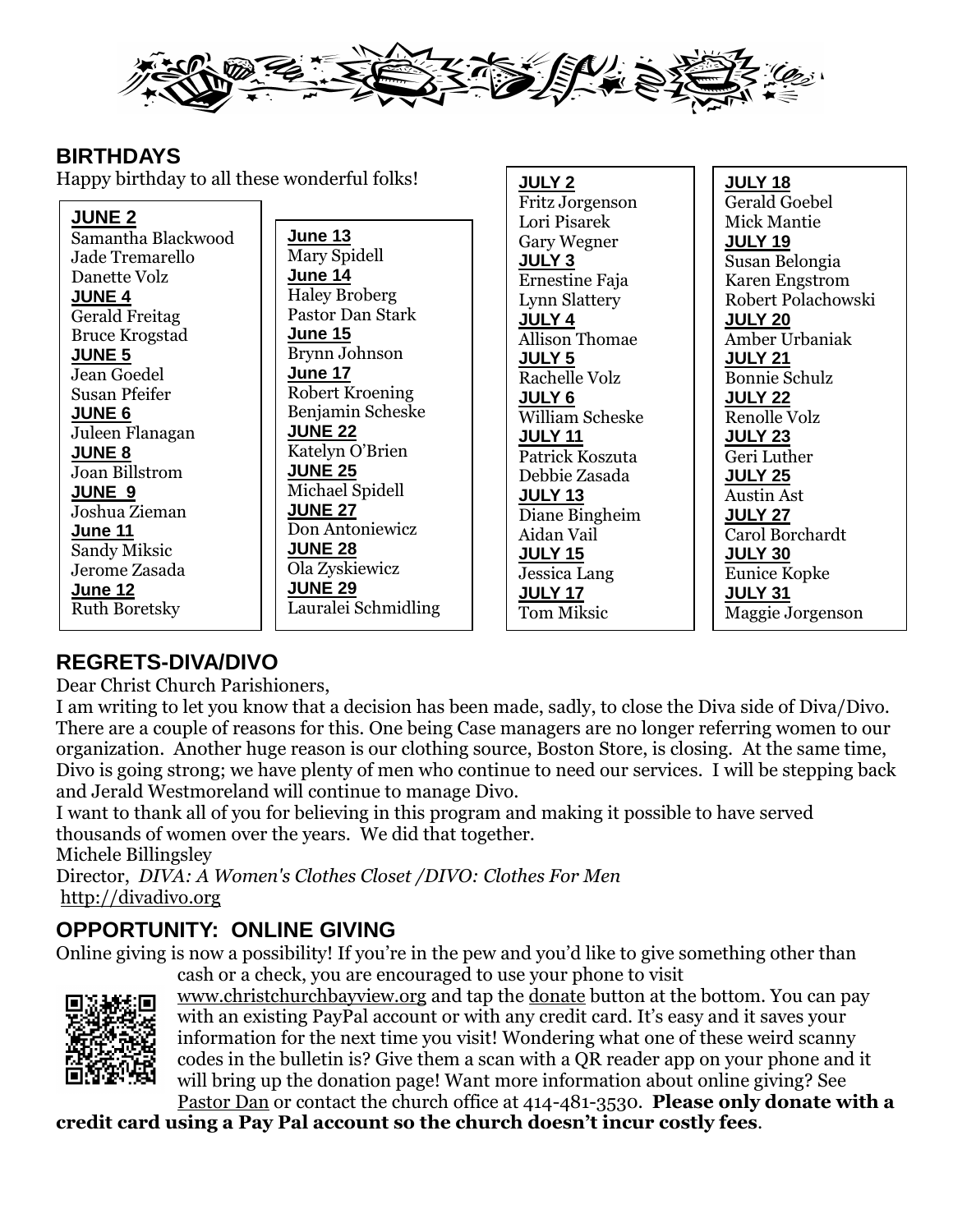

**JULY 2**

**JULY 18**

#### **BIRTHDAYS**

Happy birthday to all these wonderful folks!

| $\mathbf{F}$          |                      | JULI Z                | JULI IU              |
|-----------------------|----------------------|-----------------------|----------------------|
|                       |                      | Fritz Jorgenson       | Gerald Goebel        |
| <b>JUNE 2</b>         |                      | Lori Pisarek          | Mick Mantie          |
| Samantha Blackwood    | June 13              | <b>Gary Wegner</b>    | <b>JULY 19</b>       |
| Jade Tremarello       | Mary Spidell         | <b>JULY 3</b>         | Susan Belongia       |
| Danette Volz          | June 14              | Ernestine Faja        | Karen Engstrom       |
| <b>JUNE 4</b>         | <b>Haley Broberg</b> | <b>Lynn Slattery</b>  | Robert Polachowski   |
| <b>Gerald Freitag</b> | Pastor Dan Stark     | <b>JULY 4</b>         | <b>JULY 20</b>       |
| <b>Bruce Krogstad</b> | June 15              | <b>Allison Thomae</b> | Amber Urbaniak       |
| <b>JUNE 5</b>         | Brynn Johnson        | <u>JULY 5</u>         | <b>JULY 21</b>       |
| Jean Goedel           | June 17              | Rachelle Volz         | <b>Bonnie Schulz</b> |
| <b>Susan Pfeifer</b>  | Robert Kroening      | <b>JULY 6</b>         | <b>JULY 22</b>       |
| <b>JUNE 6</b>         | Benjamin Scheske     | William Scheske       | Renolle Volz         |
| Juleen Flanagan       | <b>JUNE 22</b>       | <b>JULY 11</b>        | <b>JULY 23</b>       |
| <b>JUNE 8</b>         | Katelyn O'Brien      | Patrick Koszuta       | Geri Luther          |
| <b>Joan Billstrom</b> | <b>JUNE 25</b>       | Debbie Zasada         | <b>JULY 25</b>       |
| <b>JUNE 9</b>         | Michael Spidell      | <b>JULY 13</b>        | <b>Austin Ast</b>    |
| Joshua Zieman         | <b>JUNE 27</b>       | Diane Bingheim        | <b>JULY 27</b>       |
| June 11               | Don Antoniewicz      | Aidan Vail            | Carol Borchardt      |
| Sandy Miksic          | <b>JUNE 28</b>       | <b>JULY 15</b>        | <b>JULY 30</b>       |
| Jerome Zasada         | Ola Zyskiewicz       | Jessica Lang          | Eunice Kopke         |
| June 12               | <b>JUNE 29</b>       | <b>JULY 17</b>        | <b>JULY 31</b>       |
| <b>Ruth Boretsky</b>  | Lauralei Schmidling  | Tom Miksic            | Maggie Jorgenson     |
|                       |                      |                       |                      |

#### **REGRETS-DIVA/DIVO**

Dear Christ Church Parishioners,

I am writing to let you know that a decision has been made, sadly, to close the Diva side of Diva/Divo. There are a couple of reasons for this. One being Case managers are no longer referring women to our organization. Another huge reason is our clothing source, Boston Store, is closing. At the same time, Divo is going strong; we have plenty of men who continue to need our services. I will be stepping back and Jerald Westmoreland will continue to manage Divo.

I want to thank all of you for believing in this program and making it possible to have served thousands of women over the years. We did that together.

Michele Billingsley

Director, *DIVA: A Women's Clothes Closet /DIVO: Clothes For Men*  [http://divadivo.org](http://divadivo.org/)

## **OPPORTUNITY: ONLINE GIVING**

Online giving is now a possibility! If you're in the pew and you'd like to give something other than



cash or a check, you are encouraged to use your phone to visit

[www.christchurchbayview.org](http://www.christchurchbayview.org/) and tap the [donate](https://www.paypal.com/cgi-bin/webscr?cmd=_s-xclick&hosted_button_id=D7W2VTZZBHZNU) button at the bottom. You can pay with an existing PayPal account or with any credit card. It's easy and it saves your information for the next time you visit! Wondering what one of these weird scanny codes in the bulletin is? Give them a scan with a QR reader app on your phone and it will bring up the donation page! Want more information about online giving? See

[Pastor Dan](mailto:dan_stark@att.net) or contact the church office at 414-481-3530. **Please only donate with a credit card using a Pay Pal account so the church doesn't incur costly fees**.